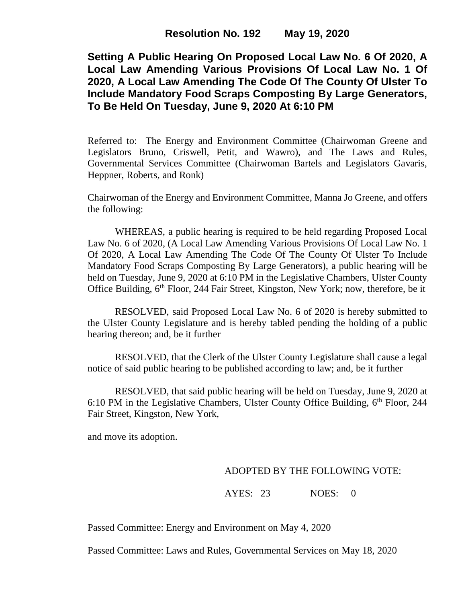**Setting A Public Hearing On Proposed Local Law No. 6 Of 2020, A Local Law Amending Various Provisions Of Local Law No. 1 Of 2020, A Local Law Amending The Code Of The County Of Ulster To Include Mandatory Food Scraps Composting By Large Generators, To Be Held On Tuesday, June 9, 2020 At 6:10 PM**

Referred to: The Energy and Environment Committee (Chairwoman Greene and Legislators Bruno, Criswell, Petit, and Wawro), and The Laws and Rules, Governmental Services Committee (Chairwoman Bartels and Legislators Gavaris, Heppner, Roberts, and Ronk)

Chairwoman of the Energy and Environment Committee, Manna Jo Greene, and offers the following:

WHEREAS, a public hearing is required to be held regarding Proposed Local Law No. 6 of 2020, (A Local Law Amending Various Provisions Of Local Law No. 1 Of 2020, A Local Law Amending The Code Of The County Of Ulster To Include Mandatory Food Scraps Composting By Large Generators), a public hearing will be held on Tuesday, June 9, 2020 at 6:10 PM in the Legislative Chambers, Ulster County Office Building, 6<sup>th</sup> Floor, 244 Fair Street, Kingston, New York; now, therefore, be it

RESOLVED, said Proposed Local Law No. 6 of 2020 is hereby submitted to the Ulster County Legislature and is hereby tabled pending the holding of a public hearing thereon; and, be it further

RESOLVED, that the Clerk of the Ulster County Legislature shall cause a legal notice of said public hearing to be published according to law; and, be it further

RESOLVED, that said public hearing will be held on Tuesday, June 9, 2020 at 6:10 PM in the Legislative Chambers, Ulster County Office Building, 6th Floor, 244 Fair Street, Kingston, New York,

and move its adoption.

## ADOPTED BY THE FOLLOWING VOTE:

AYES: 23 NOES: 0

Passed Committee: Energy and Environment on May 4, 2020

Passed Committee: Laws and Rules, Governmental Services on May 18, 2020